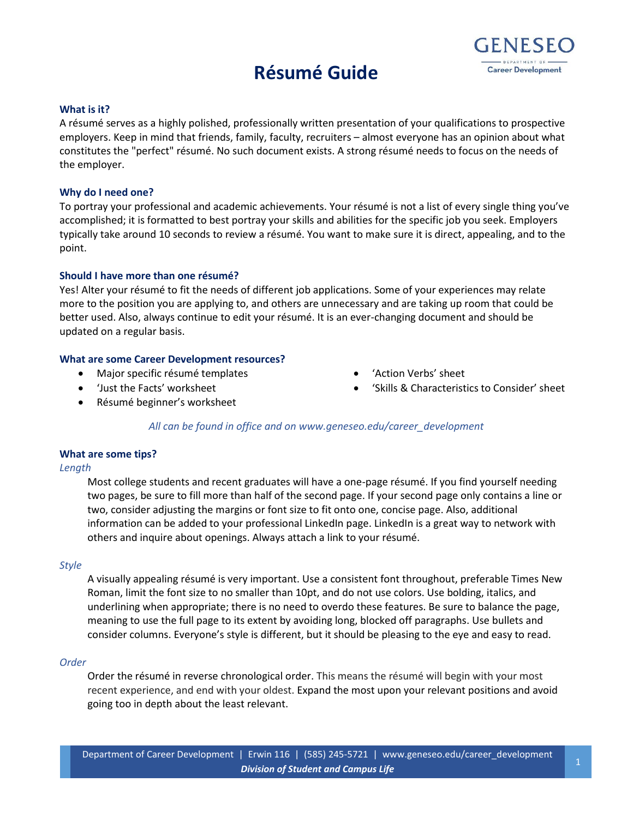# **Résumé Guide**



### **What is it?**

A résumé serves as a highly polished, professionally written presentation of your qualifications to prospective employers. Keep in mind that friends, family, faculty, recruiters – almost everyone has an opinion about what constitutes the "perfect" résumé. No such document exists. A strong résumé needs to focus on the needs of the employer.

### **Why do I need one?**

To portray your professional and academic achievements. Your résumé is not a list of every single thing you've accomplished; it is formatted to best portray your skills and abilities for the specific job you seek. Employers typically take around 10 seconds to review a résumé. You want to make sure it is direct, appealing, and to the point.

### **Should I have more than one résumé?**

Yes! Alter your résumé to fit the needs of different job applications. Some of your experiences may relate more to the position you are applying to, and others are unnecessary and are taking up room that could be better used. Also, always continue to edit your résumé. It is an ever-changing document and should be updated on a regular basis.

### **What are some Career Development resources?**

- Major specific résumé templates
- 'Just the Facts' worksheet
- 'Action Verbs' sheet
- 'Skills & Characteristics to Consider' sheet

Résumé beginner's worksheet

# *All can be found in office and on www.geneseo.edu/career\_development*

# **What are some tips?**

### *Length*

Most college students and recent graduates will have a one-page résumé. If you find yourself needing two pages, be sure to fill more than half of the second page. If your second page only contains a line or two, consider adjusting the margins or font size to fit onto one, concise page. Also, additional information can be added to your professional LinkedIn page. LinkedIn is a great way to network with others and inquire about openings. Always attach a link to your résumé.

### *Style*

A visually appealing résumé is very important. Use a consistent font throughout, preferable Times New Roman, limit the font size to no smaller than 10pt, and do not use colors. Use bolding, italics, and underlining when appropriate; there is no need to overdo these features. Be sure to balance the page, meaning to use the full page to its extent by avoiding long, blocked off paragraphs. Use bullets and consider columns. Everyone's style is different, but it should be pleasing to the eye and easy to read.

### *Order*

Order the résumé in reverse chronological order. This means the résumé will begin with your most recent experience, and end with your oldest. Expand the most upon your relevant positions and avoid going too in depth about the least relevant.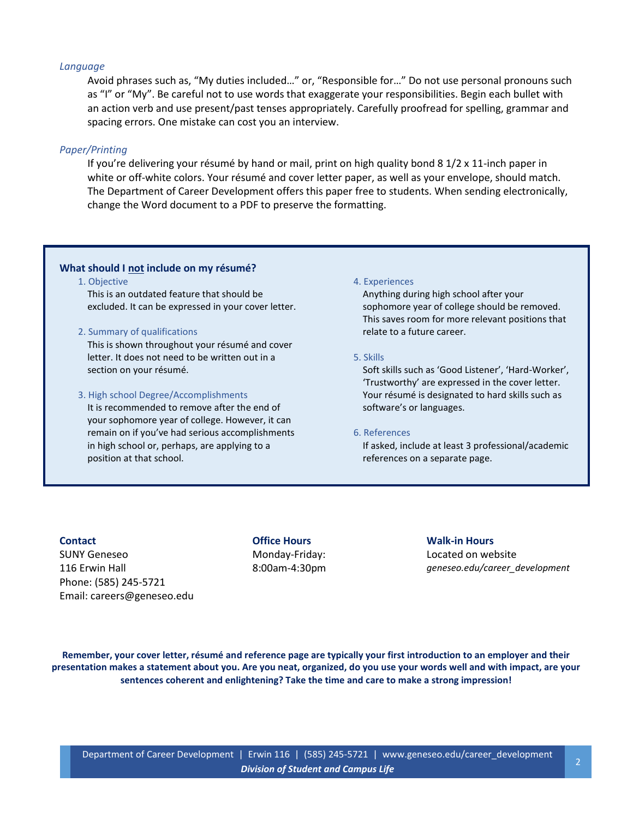### *Language*

Avoid phrases such as, "My duties included…" or, "Responsible for…" Do not use personal pronouns such as "I" or "My". Be careful not to use words that exaggerate your responsibilities. Begin each bullet with an action verb and use present/past tenses appropriately. Carefully proofread for spelling, grammar and spacing errors. One mistake can cost you an interview.

### *Paper/Printing*

If you're delivering your résumé by hand or mail, print on high quality bond 8 1/2 x 11-inch paper in white or off-white colors. Your résumé and cover letter paper, as well as your envelope, should match. The Department of Career Development offers this paper free to students. When sending electronically, change the Word document to a PDF to preserve the formatting.

### **What should I not include on my résumé?**

1. Objective

This is an outdated feature that should be excluded. It can be expressed in your cover letter.

### 2. Summary of qualifications

This is shown throughout your résumé and cover letter. It does not need to be written out in a section on your résumé.

### 3. High school Degree/Accomplishments

It is recommended to remove after the end of your sophomore year of college. However, it can remain on if you've had serious accomplishments in high school or, perhaps, are applying to a position at that school.

### 4. Experiences

Anything during high school after your sophomore year of college should be removed. This saves room for more relevant positions that relate to a future career.

# 5. Skills

Soft skills such as 'Good Listener', 'Hard-Worker', 'Trustworthy' are expressed in the cover letter. Your résumé is designated to hard skills such as software's or languages.

#### 6. References

If asked, include at least 3 professional/academic references on a separate page.

# **Contact**

SUNY Geneseo 116 Erwin Hall Phone: [\(585\) 245-5721](tel:585-245-5721) Email: [careers@geneseo.edu](mailto:careers@geneseo.edu) **Office Hours** Monday-Friday: 8:00am-4:30pm

# **Walk-in Hours**

Located on website *geneseo.edu/career\_development*

**Remember, your cover letter, résumé and reference page are typically your first introduction to an employer and their presentation makes a statement about you. Are you neat, organized, do you use your words well and with impact, are your sentences coherent and enlightening? Take the time and care to make a strong impression!**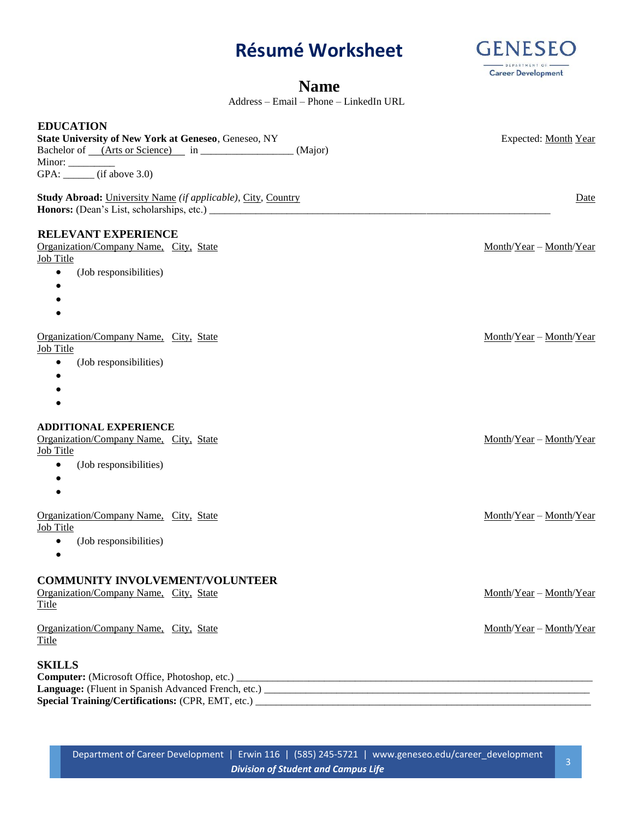# **Résumé Worksheet**



# **Name**

Address – Email – Phone – LinkedIn URL

| <b>EDUCATION</b><br>State University of New York at Geneseo, Geneseo, NY<br>Bachelor of <i>(Arts or Science)</i> in <i>manufacture in manufacture in manufacture in manufacture in manufacture in manufacture in manufacture in manufacture in manufacture in manufacture in manufacture in manufacture in manufa</i><br>(Major)<br>Minor: __________ (if above 3.0) | Expected: Month Year      |
|----------------------------------------------------------------------------------------------------------------------------------------------------------------------------------------------------------------------------------------------------------------------------------------------------------------------------------------------------------------------|---------------------------|
| Study Abroad: University Name (if applicable), City, Country                                                                                                                                                                                                                                                                                                         | Date                      |
| <b>RELEVANT EXPERIENCE</b><br>Organization/Company Name, City, State<br><b>Job Title</b><br>(Job responsibilities)<br>$\bullet$<br>$\bullet$                                                                                                                                                                                                                         | Month/Year - Month/Year   |
| $\bullet$<br>Organization/Company Name, City, State<br><b>Job Title</b><br>(Job responsibilities)<br>$\bullet$<br>$\bullet$                                                                                                                                                                                                                                          | $Month/Year - Month/Year$ |
| <b>ADDITIONAL EXPERIENCE</b><br>Organization/Company Name, City, State<br><b>Job Title</b><br>(Job responsibilities)<br>٠<br>$\bullet$<br>$\bullet$                                                                                                                                                                                                                  | $Month/Year - Month/Year$ |
| Organization/Company Name, City, State<br>Job Title<br>(Job responsibilities)<br>٠                                                                                                                                                                                                                                                                                   | $Month/Year - Month/Year$ |
| <b>COMMUNITY INVOLVEMENT/VOLUNTEER</b><br>Organization/Company Name, City, State<br>Title                                                                                                                                                                                                                                                                            | Month/Year - Month/Year   |
| Organization/Company Name, City, State<br><b>Title</b>                                                                                                                                                                                                                                                                                                               | Month/Year - Month/Year   |
| <b>SKILLS</b>                                                                                                                                                                                                                                                                                                                                                        |                           |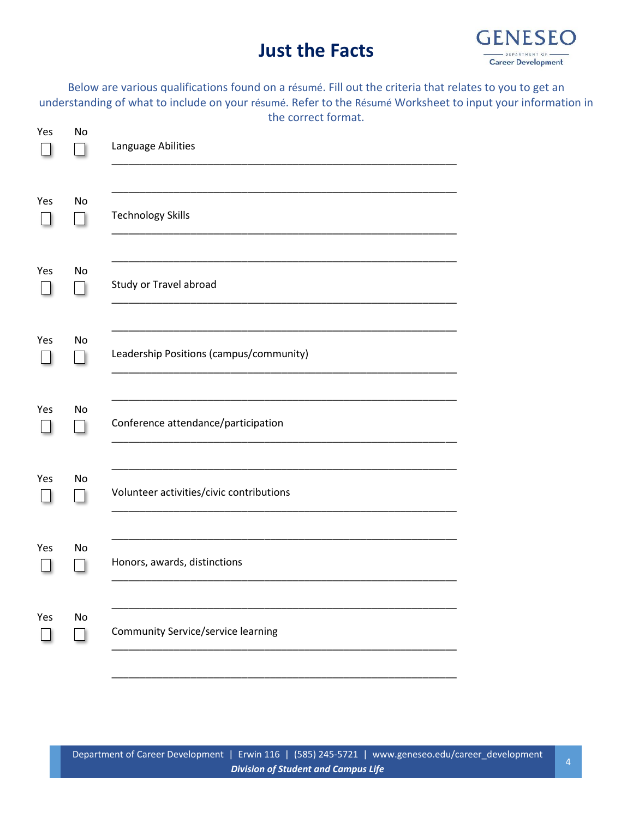# **Just the Facts**



Below are various qualifications found on a résumé. Fill out the criteria that relates to you to get an understanding of what to include on your résumé. Refer to the Résumé Worksheet to input your information in the correct format.

| Yes | No | Language Abilities                        |
|-----|----|-------------------------------------------|
| Yes | No | <b>Technology Skills</b>                  |
| Yes | No | Study or Travel abroad                    |
| Yes | No | Leadership Positions (campus/community)   |
| Yes | No | Conference attendance/participation       |
| Yes | No | Volunteer activities/civic contributions  |
| Yes | No | Honors, awards, distinctions              |
| Yes | No | <b>Community Service/service learning</b> |
|     |    |                                           |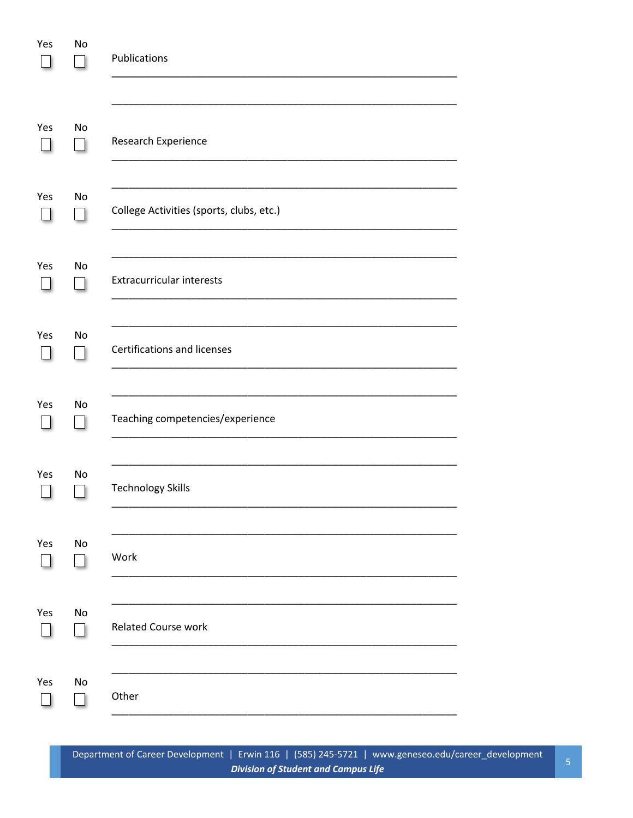| Yes | No | Publications                             |
|-----|----|------------------------------------------|
| Yes | No | Research Experience                      |
| Yes | No | College Activities (sports, clubs, etc.) |
| Yes | No | <b>Extracurricular interests</b>         |
| Yes | No | Certifications and licenses              |
| Yes | No | Teaching competencies/experience         |
| Yes | No | <b>Technology Skills</b>                 |
| Yes | No | Work                                     |
| Yes | No | <b>Related Course work</b>               |
| Yes | No | Other                                    |

Department of Career Development | Erwin 116 | (585) 245-5721 | www.geneseo.edu/career\_development **Division of Student and Campus Life**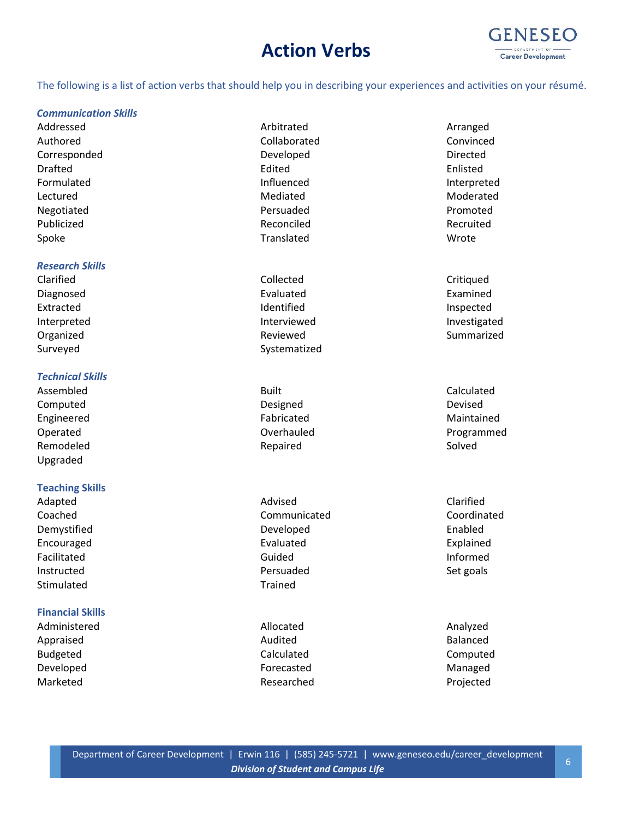# **Action Verbs**



The following is a list of action verbs that should help you in describing your experiences and activities on your résumé.

### *Communication Skills*

Addressed **Architrated** Arbitrated **Archites Arranged** Arranged Authored Collaborated Convinced Corresponded Developed Directed Drafted Edited Enlisted Formulated and Influenced and Influenced and Interpreted Lectured **Mediated** Mediated **Mediated** Moderated Negotiated **Persuaded** Persuaded **Persuaded Promoted** Publicized **Reconciled** Reconciled Reconciled Recruited Spoke **Translated** Translated Wrote

### *Research Skills*

# *Technical Skills*

Computed **Designed** Designed **Designed** Devised Engineered **Fabricated** Fabricated **Fabricated** Maintained Remodeled Solved Repaired Repaired Solved Upgraded

# **Teaching Skills**

Stimulated Trained

# **Financial Skills**

Administered **Allocated** Allocated **Analyzed** Analyzed Appraised **Audited Audited Audited Audited Balanced** Budgeted **Calculated** Calculated **Calculated** Computed Developed and a state of the Forecasted Controller and Managed Managed Marketed **Researched** Researched **Projected** 

- 
- Clarified Clarified Collected Collected Critiqued Diagnosed **Examined** Evaluated **Examined** Examined Extracted **Inspected** Identified **Inspected** Interpreted **Interviewed** Interviewed **Interviewed** Investigated Organized **Summarized Reviewed Reviewed Reviewed** Summarized Surveyed Surveyed Systematized

Assembled and Calculated Built Calculated Built Calculated

Adapted Clarified **Advised** Advised **Advised** Clarified Coached Communicated Coordinated Demystified Developed Enabled Encouraged Evaluated Explained Facilitated and a state of the Guided Contract of the Informed Instructed **East Constructed** Persuaded **Persuaded** Set goals

Operated **Overhauled Overhauled COVERS Programmed**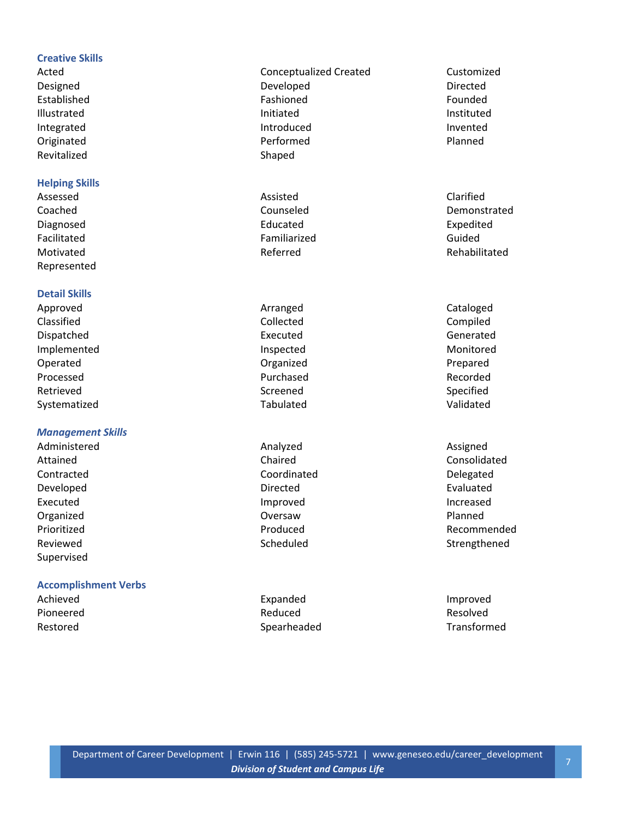# **Creative Skills**

Revitalized Shaped

# **Helping Skills**

Diagnosed **Educated** Educated **Expedited** Facilitated **Familiarized** Familiarized Guided Motivated **Referred** Referred **Referred** Rehabilitated Represented

# **Detail Skills**

Approved and Cataloged Arranged Cataloged Cataloged Classified Collected Compiled Dispatched **Executed** Executed **Executed** Generated Implemented **Inspected** Inspected Monitored Operated **Organized** Communication Communication Communication Communication Communication Communication Communication Communication Communication Communication Communication Communication Communication Communication Commu Processed **Recorded Purchased Purchased Recorded** Retrieved and Screened Screened Screened Specified Systematized Tabulated Validated

# *Management Skills*

Contracted Coordinated Delegated Developed examples a controller controller controller problems of the Directed Evaluated Evaluated Executed and increased improved and increased increased increased Organized Oversaw Planned Supervised

# **Accomplishment Verbs**

Acted **Conceptualized Created** Customized Customized Designed Developed Directed Established Fashioned Fashioned Fashioned Founded Illustrated and initiated Initiated Instituted and Instituted in the Instituted Instituted Integrated **Integrated** Introduced **Introduced Integrated** Originated **Performed Performed Performed Planned** 

Assessed **Assessed** Clarified

Administered **Analyzed** Analyzed **Analyzed** Assigned

Achieved **Improved** Expanded **Expanded Improved** Pioneered **Reduced** Reduced **Reduced** Resolved Restored **Spearheaded** Spearheaded Transformed Transformed

Coached Counseled Demonstrated

Attained Chaired Chaired Chaired Consolidated Consolidated Consolidated Consolidated Consolidated Consolidated Prioritized **Produced** Produced **Recommended** Reviewed **Scheduled** Scheduled Strengthened Strengthened